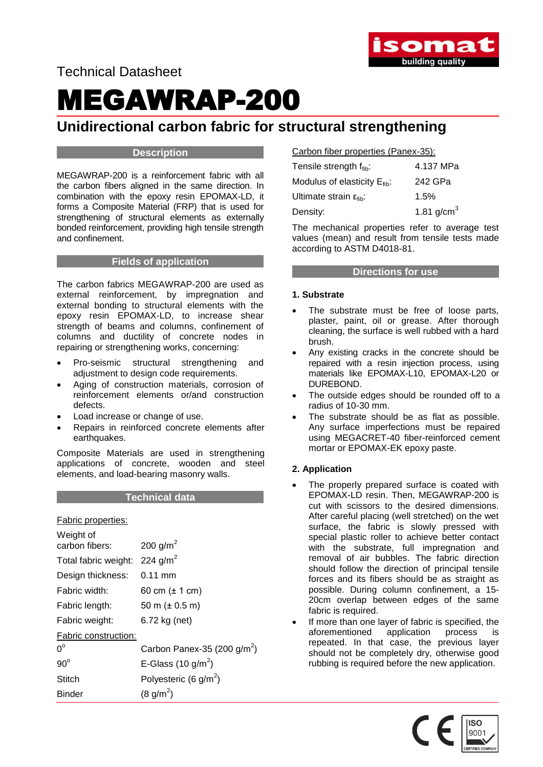

Technical Datasheet

# MEGAWRAP-200

### **Unidirectional carbon fabric for structural strengthening**

#### **Description**

MEGAWRAP-200 is a reinforcement fabric with all the carbon fibers aligned in the same direction. In combination with the epoxy resin EPOMAX-LD, it forms a Composite Material (FRP) that is used for strengthening of structural elements as externally bonded reinforcement, providing high tensile strength and confinement.

#### **Fields of application**

The carbon fabrics MEGAWRAP-200 are used as external reinforcement, by impregnation and external bonding to structural elements with the epoxy resin EPOMAX-LD, to increase shear strength of beams and columns, confinement of columns and ductility of concrete nodes in repairing or strengthening works, concerning:

- Pro-seismic structural strengthening and adjustment to design code requirements.
- Aging of construction materials, corrosion of reinforcement elements or/and construction defects.
- Load increase or change of use.
- Repairs in reinforced concrete elements after earthquakes.

Composite Materials are used in strengthening applications of concrete, wooden and steel elements, and load-bearing masonry walls.

#### **Technical data**

Fabric properties:

| 200 g/m <sup>2</sup>           |
|--------------------------------|
| 224 g/m <sup>2</sup>           |
| $0.11 \text{ mm}$              |
| 60 cm $(\pm 1 \text{ cm})$     |
| 50 m $(\pm 0.5 \text{ m})$     |
| 6.72 kg (net)                  |
| Fabric construction:           |
| Carbon Panex-35 (200 $g/m^2$ ) |
| E-Glass (10 g/m <sup>2</sup> ) |
| Polyesteric (6 $q/m^2$ )       |
| $(8 \text{ g/m}^2)$            |
|                                |

| Carbon fiber properties (Panex-35): |  |
|-------------------------------------|--|
|                                     |  |

| Tensile strength f <sub>fib</sub> :          | 4.137 MPa       |
|----------------------------------------------|-----------------|
| Modulus of elasticity $E_{\text{fib}}$ :     | 242 GPa         |
| Ultimate strain $\varepsilon_{\text{fib}}$ : | 1.5%            |
| Density:                                     | 1.81 $g/cm^{3}$ |

The mechanical properties refer to average test values (mean) and result from tensile tests made according to ASTM D4018-81.

#### **Directions for use**

#### **1. Substrate**

- The substrate must be free of loose parts, plaster, paint, oil or grease. After thorough cleaning, the surface is well rubbed with a hard brush.
- Any existing cracks in the concrete should be repaired with a resin injection process, using materials like EPOMAX-L10, EPOMAX-L20 or DUREBOND.
- The outside edges should be rounded off to a radius of 10-30 mm.
- The substrate should be as flat as possible. Any surface imperfections must be repaired using MEGACRET-40 fiber-reinforced cement mortar or EPOMAX-EK epoxy paste.

#### **2. Application**

- The properly prepared surface is coated with EPOMAX-LD resin. Then, MEGAWRAP-200 is cut with scissors to the desired dimensions. After careful placing (well stretched) on the wet surface, the fabric is slowly pressed with special plastic roller to achieve better contact with the substrate, full impregnation and removal of air bubbles. The fabric direction should follow the direction of principal tensile forces and its fibers should be as straight as possible. During column confinement, a 15- 20cm overlap between edges of the same fabric is required.
- If more than one layer of fabric is specified, the aforementioned application process is repeated. In that case, the previous layer should not be completely dry, otherwise good rubbing is required before the new application.